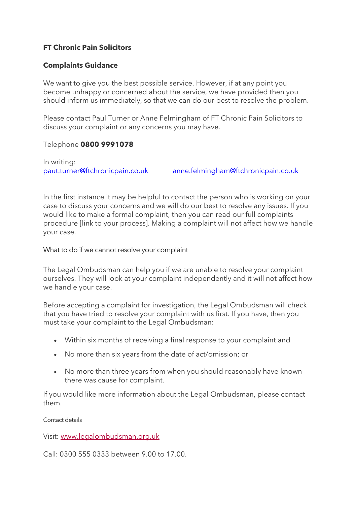# **FT Chronic Pain Solicitors**

## **Complaints Guidance**

We want to give you the best possible service. However, if at any point you become unhappy or concerned about the service, we have provided then you should inform us immediately, so that we can do our best to resolve the problem.

Please contact Paul Turner or Anne Felmingham of FT Chronic Pain Solicitors to discuss your complaint or any concerns you may have.

#### Telephone **0800 9991078**

In writing: [paut.turner@ftchronicpain.co.uk](mailto:paut.turner@ftchronicpain.co.uk) [anne.felmingham@ftchronicpain.co.uk](mailto:anne.felmingham@ftchronicpain.co.uk)

In the first instance it may be helpful to contact the person who is working on your case to discuss your concerns and we will do our best to resolve any issues. If you would like to make a formal complaint, then you can read our full complaints procedure [link to your process]. Making a complaint will not affect how we handle your case.

#### What to do if we cannot resolve your complaint

The Legal Ombudsman can help you if we are unable to resolve your complaint ourselves. They will look at your complaint independently and it will not affect how we handle your case.

Before accepting a complaint for investigation, the Legal Ombudsman will check that you have tried to resolve your complaint with us first. If you have, then you must take your complaint to the Legal Ombudsman:

- Within six months of receiving a final response to your complaint and
- No more than six years from the date of act/omission; or
- No more than three years from when you should reasonably have known there was cause for complaint.

If you would like more information about the Legal Ombudsman, please contact them.

Contact details

Visit: [www.legalombudsman.org.uk](http://www.legalombudsman.org.uk/)

Call: 0300 555 0333 between 9.00 to 17.00.